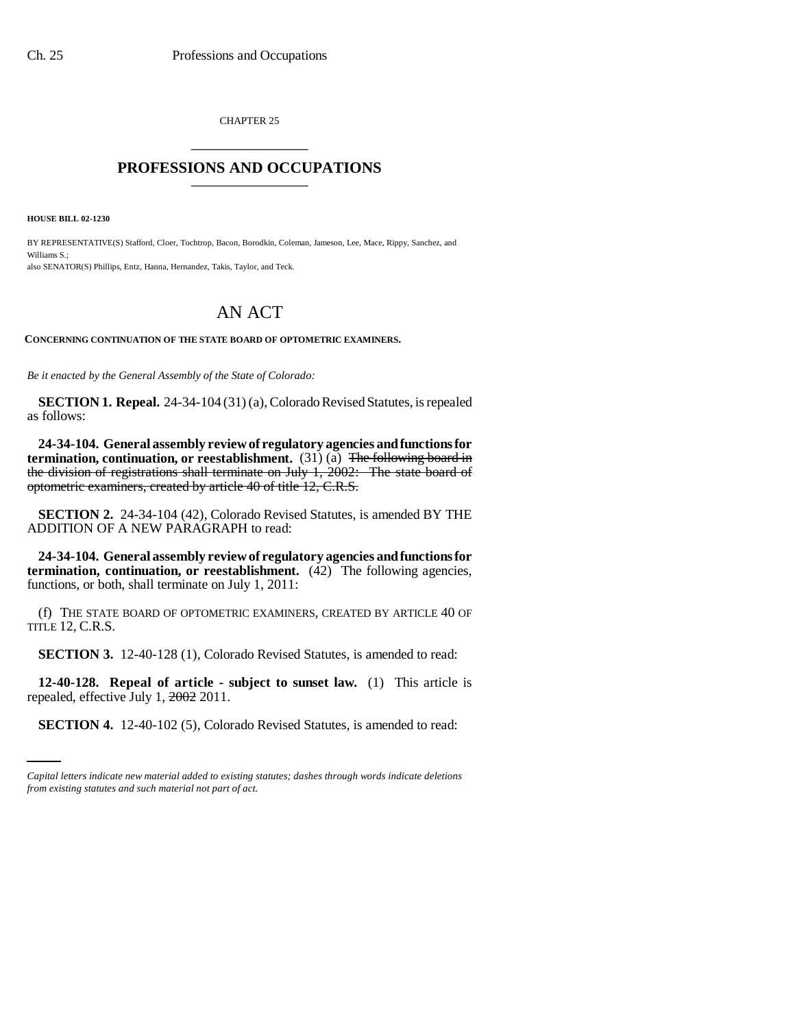CHAPTER 25 \_\_\_\_\_\_\_\_\_\_\_\_\_\_\_

## **PROFESSIONS AND OCCUPATIONS** \_\_\_\_\_\_\_\_\_\_\_\_\_\_\_

**HOUSE BILL 02-1230**

BY REPRESENTATIVE(S) Stafford, Cloer, Tochtrop, Bacon, Borodkin, Coleman, Jameson, Lee, Mace, Rippy, Sanchez, and Williams S.; also SENATOR(S) Phillips, Entz, Hanna, Hernandez, Takis, Taylor, and Teck.

## AN ACT

**CONCERNING CONTINUATION OF THE STATE BOARD OF OPTOMETRIC EXAMINERS.**

*Be it enacted by the General Assembly of the State of Colorado:*

**SECTION 1. Repeal.** 24-34-104 (31) (a), Colorado Revised Statutes, is repealed as follows:

**24-34-104. General assembly review of regulatory agencies and functions for termination, continuation, or reestablishment.** (31) (a) <del>The following board in</del> the division of registrations shall terminate on July 1, 2002: The state board of optometric examiners, created by article 40 of title 12, C.R.S.

**SECTION 2.** 24-34-104 (42), Colorado Revised Statutes, is amended BY THE ADDITION OF A NEW PARAGRAPH to read:

**24-34-104. General assembly review of regulatory agencies and functions for termination, continuation, or reestablishment.** (42) The following agencies, functions, or both, shall terminate on July 1, 2011:

(f) THE STATE BOARD OF OPTOMETRIC EXAMINERS, CREATED BY ARTICLE 40 OF TITLE 12, C.R.S.

**SECTION 3.** 12-40-128 (1), Colorado Revised Statutes, is amended to read:

repealed, effective July  $1, \frac{2002}{2011}$ . **12-40-128. Repeal of article - subject to sunset law.** (1) This article is

**SECTION 4.** 12-40-102 (5), Colorado Revised Statutes, is amended to read:

*Capital letters indicate new material added to existing statutes; dashes through words indicate deletions from existing statutes and such material not part of act.*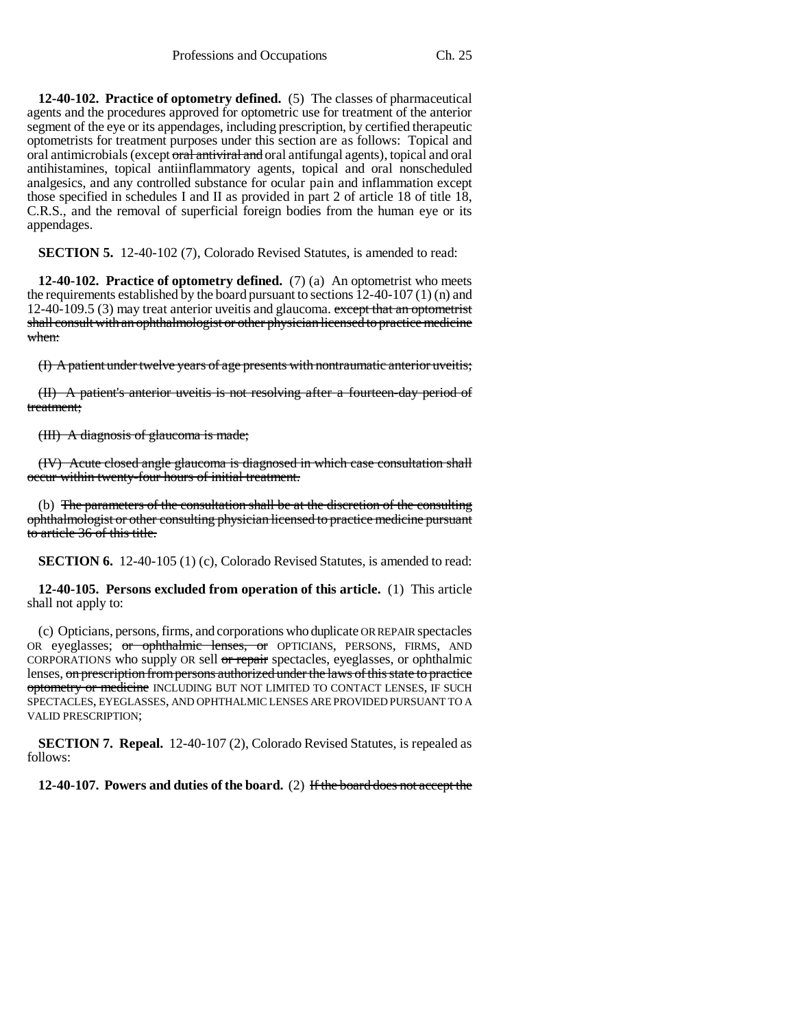**12-40-102. Practice of optometry defined.** (5) The classes of pharmaceutical agents and the procedures approved for optometric use for treatment of the anterior segment of the eye or its appendages, including prescription, by certified therapeutic optometrists for treatment purposes under this section are as follows: Topical and oral antimicrobials (except oral antiviral and oral antifungal agents), topical and oral antihistamines, topical antiinflammatory agents, topical and oral nonscheduled analgesics, and any controlled substance for ocular pain and inflammation except those specified in schedules I and II as provided in part 2 of article 18 of title 18, C.R.S., and the removal of superficial foreign bodies from the human eye or its appendages.

**SECTION 5.** 12-40-102 (7), Colorado Revised Statutes, is amended to read:

**12-40-102. Practice of optometry defined.** (7) (a) An optometrist who meets the requirements established by the board pursuant to sections  $12-40-107(1)$  (n) and 12-40-109.5 (3) may treat anterior uveitis and glaucoma. except that an optometrist shall consult with an ophthalmologist or other physician licensed to practice medicine when:

(I) A patient under twelve years of age presents with nontraumatic anterior uveitis;

(II) A patient's anterior uveitis is not resolving after a fourteen-day period of treatment;

(III) A diagnosis of glaucoma is made;

(IV) Acute closed angle glaucoma is diagnosed in which case consultation shall occur within twenty-four hours of initial treatment.

(b) The parameters of the consultation shall be at the discretion of the consulting ophthalmologist or other consulting physician licensed to practice medicine pursuant to article 36 of this title.

**SECTION 6.** 12-40-105 (1) (c), Colorado Revised Statutes, is amended to read:

**12-40-105. Persons excluded from operation of this article.** (1) This article shall not apply to:

(c) Opticians, persons, firms, and corporations who duplicate OR REPAIR spectacles OR eyeglasses; or ophthalmic lenses, or OPTICIANS, PERSONS, FIRMS, AND CORPORATIONS who supply OR sell or repair spectacles, eyeglasses, or ophthalmic lenses, on prescription from persons authorized under the laws of this state to practice optometry or medicine INCLUDING BUT NOT LIMITED TO CONTACT LENSES, IF SUCH SPECTACLES, EYEGLASSES, AND OPHTHALMIC LENSES ARE PROVIDED PURSUANT TO A VALID PRESCRIPTION;

**SECTION 7. Repeal.** 12-40-107 (2), Colorado Revised Statutes, is repealed as follows:

**12-40-107. Powers and duties of the board.** (2) If the board does not accept the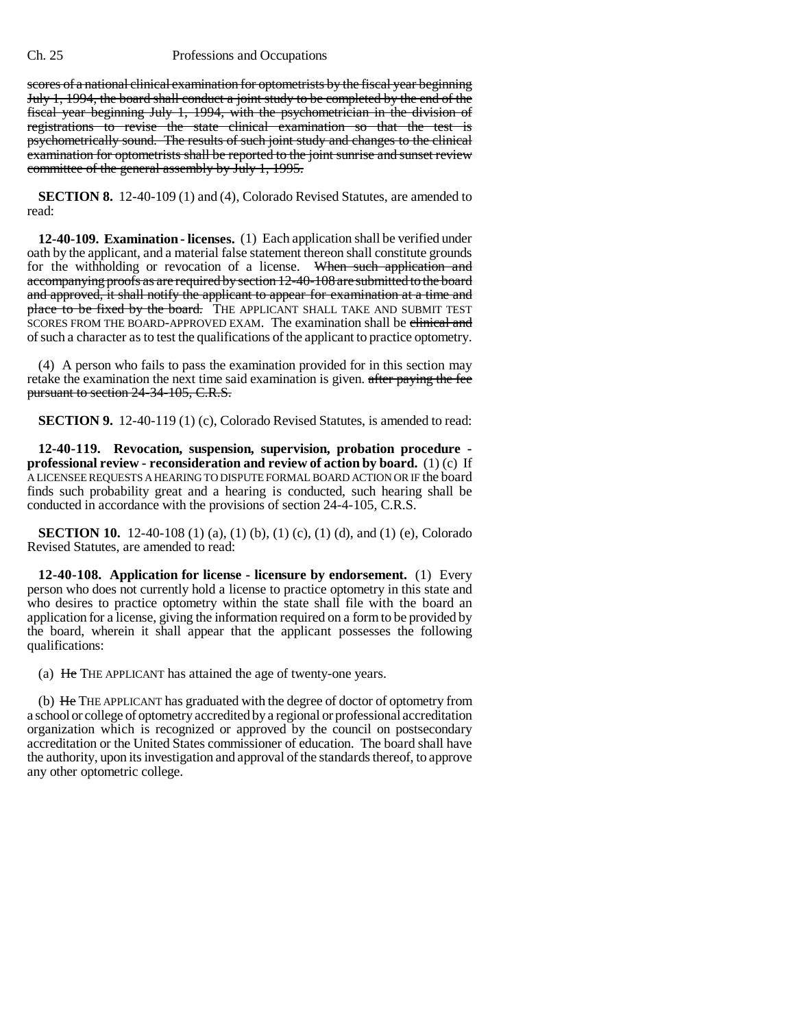## Ch. 25 Professions and Occupations

scores of a national clinical examination for optometrists by the fiscal year beginning July 1, 1994, the board shall conduct a joint study to be completed by the end of the fiscal year beginning July 1, 1994, with the psychometrician in the division of registrations to revise the state clinical examination so that the test is psychometrically sound. The results of such joint study and changes to the clinical examination for optometrists shall be reported to the joint sunrise and sunset review committee of the general assembly by July 1, 1995.

**SECTION 8.** 12-40-109 (1) and (4), Colorado Revised Statutes, are amended to read:

**12-40-109. Examination - licenses.** (1) Each application shall be verified under oath by the applicant, and a material false statement thereon shall constitute grounds for the withholding or revocation of a license. When such application and accompanying proofs as are required by section 12-40-108 are submitted to the board and approved, it shall notify the applicant to appear for examination at a time and place to be fixed by the board. THE APPLICANT SHALL TAKE AND SUBMIT TEST SCORES FROM THE BOARD-APPROVED EXAM. The examination shall be clinical and of such a character as to test the qualifications of the applicant to practice optometry.

(4) A person who fails to pass the examination provided for in this section may retake the examination the next time said examination is given. after paying the fee pursuant to section 24-34-105, C.R.S.

**SECTION 9.** 12-40-119 (1) (c), Colorado Revised Statutes, is amended to read:

**12-40-119. Revocation, suspension, supervision, probation procedure professional review - reconsideration and review of action by board.** (1) (c) If A LICENSEE REQUESTS A HEARING TO DISPUTE FORMAL BOARD ACTION OR IF the board finds such probability great and a hearing is conducted, such hearing shall be conducted in accordance with the provisions of section 24-4-105, C.R.S.

**SECTION 10.** 12-40-108 (1) (a), (1) (b), (1) (c), (1) (d), and (1) (e), Colorado Revised Statutes, are amended to read:

**12-40-108. Application for license - licensure by endorsement.** (1) Every person who does not currently hold a license to practice optometry in this state and who desires to practice optometry within the state shall file with the board an application for a license, giving the information required on a form to be provided by the board, wherein it shall appear that the applicant possesses the following qualifications:

(a) He THE APPLICANT has attained the age of twenty-one years.

(b) He THE APPLICANT has graduated with the degree of doctor of optometry from a school or college of optometry accredited by a regional or professional accreditation organization which is recognized or approved by the council on postsecondary accreditation or the United States commissioner of education. The board shall have the authority, upon its investigation and approval of the standards thereof, to approve any other optometric college.